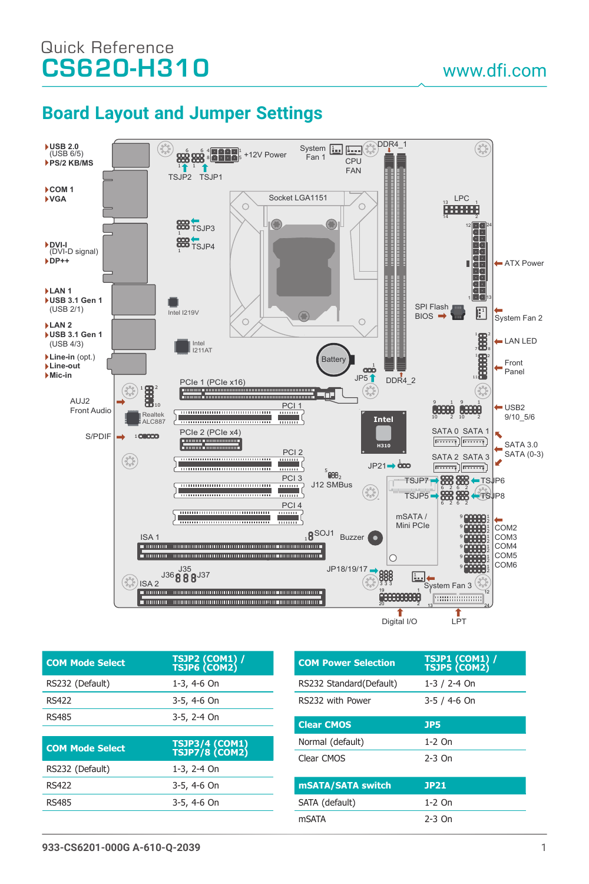# CS620-H310 www.dfi.com Quick Reference

## **Board Layout and Jumper Settings**



| <b>COM Mode Select</b> | TSJP2 (COM1) /<br>TSJP6 (COM2)   |
|------------------------|----------------------------------|
| RS232 (Default)        | 1-3, 4-6 On                      |
| <b>RS422</b>           | 3-5, 4-6 On                      |
| <b>RS485</b>           | 3-5, 2-4 On                      |
|                        |                                  |
|                        |                                  |
| <b>COM Mode Select</b> | TSJP3/4 (COM1)<br>TSJP7/8 (COM2) |
| RS232 (Default)        | 1-3, 2-4 On                      |
| <b>RS422</b>           | 3-5, 4-6 On                      |
| <b>RS485</b>           | 3-5, 4-6 On                      |

| <b>COM Power Selection</b> | TSJP1 (COM1) /<br>TSJP5 (COM2) |
|----------------------------|--------------------------------|
| RS232 Standard (Default)   | $1-3/2-4$ On                   |
| RS232 with Power           | $3 - 5 / 4 - 6$ On             |
| <b>Clear CMOS</b>          | <b>JP5</b>                     |
| Normal (default)           | $1-2$ On                       |
| Clear CMOS                 | $2-3$ On                       |
| mSATA/SATA switch          | <b>JP21</b>                    |
| SATA (default)             | $1-2$ On                       |
| <b>mSATA</b>               | 2-3 On                         |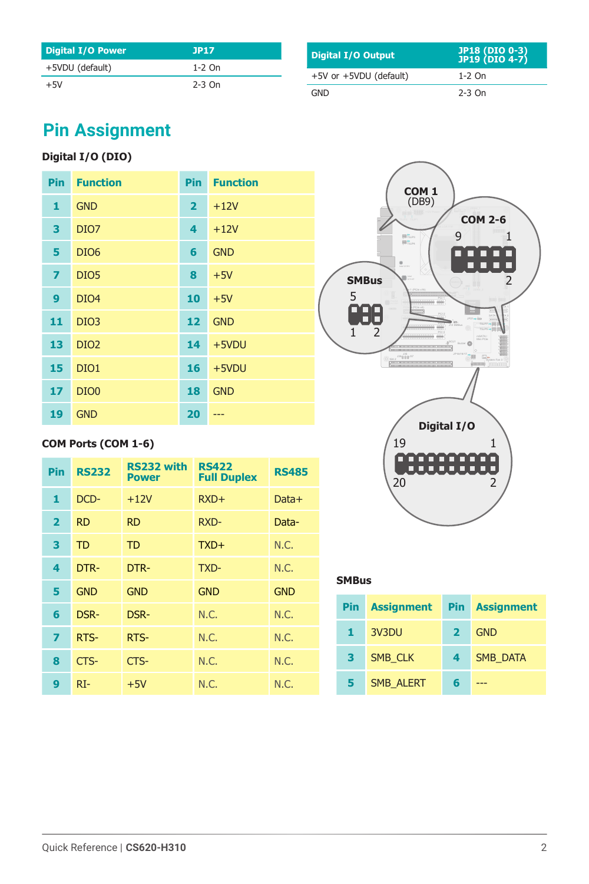| <b>Digital I/O Power</b> | JP17     |
|--------------------------|----------|
| +5VDU (default)          | $1-2$ On |
| $+5V$                    | $2-3$ On |

| Digital I/O Output     | JP18 (DIO 0-3)<br>JP19 (DIO 4-7) |
|------------------------|----------------------------------|
| +5V or +5VDU (default) | $1-2$ On                         |
| <b>GND</b>             | $2-3$ On                         |

# **Pin Assignment**

### **Digital I/O (DIO)**

| Pin            | <b>Function</b>  | Pin                     | <b>Function</b> |
|----------------|------------------|-------------------------|-----------------|
| 1              | <b>GND</b>       | $\overline{\mathbf{2}}$ | $+12V$          |
| 3              | DIO <sub>7</sub> | 4                       | $+12V$          |
| 5              | DIO <sub>6</sub> | 6                       | <b>GND</b>      |
| $\overline{z}$ | DIO <sub>5</sub> | 8                       | $+5V$           |
| 9              | DIO <sub>4</sub> | 10                      | $+5V$           |
| 11             | DIO <sub>3</sub> | 12                      | <b>GND</b>      |
| 13             | DIO <sub>2</sub> | 14                      | $+5VDU$         |
| 15             | DIO <sub>1</sub> | 16                      | $+5VDU$         |
| 17             | DIO <sub>0</sub> | 18                      | <b>GND</b>      |
| 19             | <b>GND</b>       | 20                      |                 |

### **COM Ports (COM 1-6)**

| <b>Pin</b>              | <b>RS232</b> | RS232 with<br><b>Power</b> | <b>RS422</b><br><b>Full Duplex</b> | <b>RS485</b> |
|-------------------------|--------------|----------------------------|------------------------------------|--------------|
| 1                       | DCD-         | $+12V$                     | $RXD+$                             | Data+        |
| $\overline{\mathbf{2}}$ | <b>RD</b>    | <b>RD</b>                  | RXD-                               | Data-        |
| 3                       | <b>TD</b>    | <b>TD</b>                  | $TXD+$                             | N.C.         |
| 4                       | DTR-         | DTR-                       | TXD-                               | N.C.         |
| 5                       | <b>GND</b>   | <b>GND</b>                 | <b>GND</b>                         | <b>GND</b>   |
| 6                       | DSR-         | DSR-                       | N.C.                               | N.C.         |
| $\overline{\mathbf{z}}$ | RTS-         | RTS-                       | N.C.                               | N.C.         |
| 8                       | CTS-         | CTS-                       | N.C.                               | N.C.         |
| 9                       | $RI-$        | $+5V$                      | N.C.                               | N.C.         |



#### **SMBus**

| <b>Pin</b> | <b>Assignment</b> | <b>Pin</b>   | <b>Assignment</b> |
|------------|-------------------|--------------|-------------------|
| 1.         | 3V3DU             | $\mathbf{z}$ | <b>GND</b>        |
| 3          | <b>SMB CLK</b>    | 4            | <b>SMB DATA</b>   |
| 5          | <b>SMB ALERT</b>  | 6            |                   |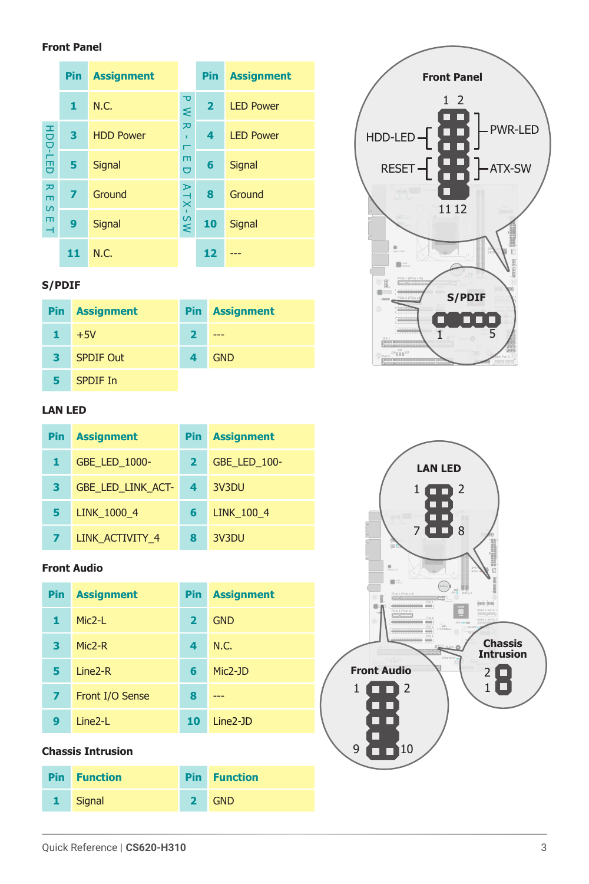#### **Front Panel**

|                         | <b>Pin</b> | <b>Assignment</b> |                        | Pin            | <b>Assignment</b> |
|-------------------------|------------|-------------------|------------------------|----------------|-------------------|
|                         | 1          | N.C.              | ᄀ<br>⋞                 | $\overline{2}$ | <b>LED Power</b>  |
|                         | 3          | <b>HDD Power</b>  | ᅔ<br>$\mathbf{r}$<br>г | 4              | <b>LED Power</b>  |
| HDD-LED                 | 5          | Signal            | m<br>Ō                 | 6              | Signal            |
| ᄍ<br>$\blacksquare$     | 7          | Ground            | $\geq$<br>$\times$     | 8              | Ground            |
| $\Omega$<br>$\Box$<br>⊣ | 9          | Signal            | M <sub>S</sub>         | 10             | Signal            |
|                         | 11         | N.C.              |                        | 12             |                   |

### **S/PDIF**

|    | <b>Pin</b> Assignment |   | <b>Pin</b> Assignment |
|----|-----------------------|---|-----------------------|
| т. | $+5V$                 |   |                       |
| з  | <b>SPDIF Out</b>      | 4 | <b>GND</b>            |
|    | SPDIF In              |   |                       |

#### **LAN LED**

| <b>Pin</b> | <b>Assignment</b>        | <b>Pin</b>     | <b>Assignment</b>   |
|------------|--------------------------|----------------|---------------------|
| 1          | <b>GBE LED 1000-</b>     | $\mathbf{2}$   | <b>GBE LED 100-</b> |
| з          | <b>GBE LED LINK ACT-</b> | $\overline{4}$ | 3V3DU               |
| 5          | LINK 1000 4              | 6              | <b>LINK 100 4</b>   |
|            | LINK ACTIVITY 4          |                | 3V3DU               |

#### **Front Audio**

| <b>Pin</b> | <b>Assignment</b>   | Pin            | <b>Assignment</b> |
|------------|---------------------|----------------|-------------------|
| 1          | $Mic2-I$            | $\overline{2}$ | <b>GND</b>        |
| з          | $Mic2-R$            | 4              | N.C.              |
| 5          | Line <sub>2-R</sub> | 6              | Mic2-JD           |
| 7          | Front I/O Sense     | 8              |                   |
| 9          | Line <sub>2-L</sub> | 10             | $Line2-D$         |

#### **Chassis Intrusion**

|              | <b>Pin</b> Function |              | <b>Pin</b> Function |
|--------------|---------------------|--------------|---------------------|
| $\mathbf{1}$ | Signal              | $\mathbf{2}$ | <b>GND</b>          |